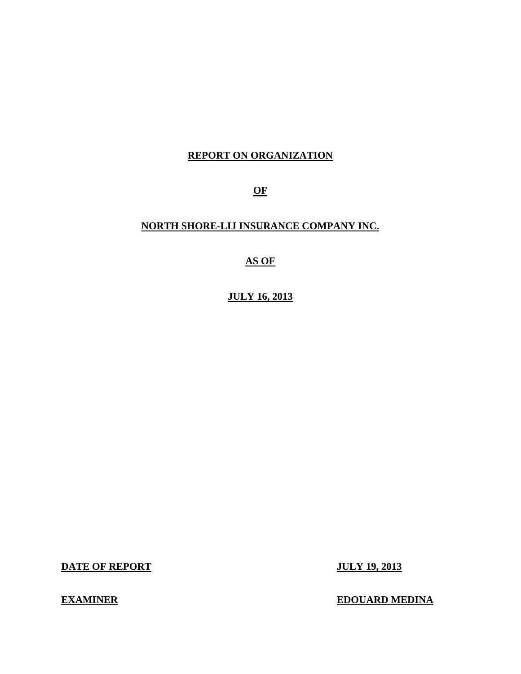## **REPORT ON ORGANIZATION**

**OF** 

## **NORTH SHORE-LIJ INSURANCE COMPANY INC.**

**AS OF** 

**JULY 16, 2013** 

**DATE OF REPORT JULY 19, 2013** 

**EXAMINER EDOUARD MEDINA**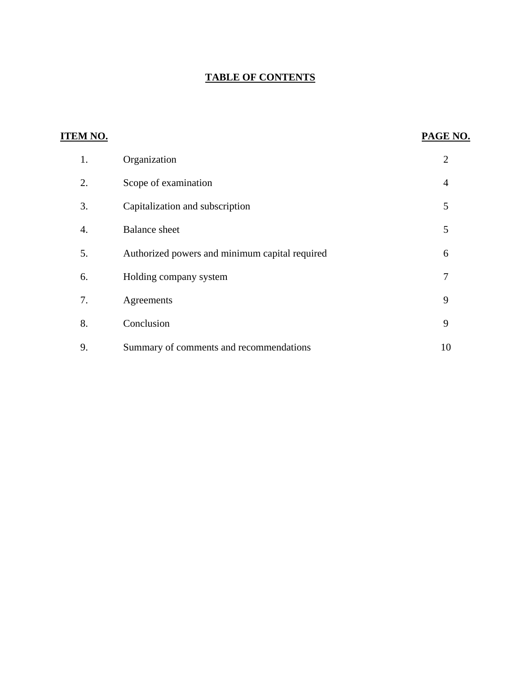## **TABLE OF CONTENTS**

| <b>ITEM NO.</b> |                                                | PAGE NO.       |
|-----------------|------------------------------------------------|----------------|
| 1.              | Organization                                   | $\overline{2}$ |
| 2.              | Scope of examination                           | $\overline{4}$ |
| 3.              | Capitalization and subscription                | 5              |
| 4.              | <b>Balance</b> sheet                           | 5              |
| 5.              | Authorized powers and minimum capital required | 6              |
| 6.              | Holding company system                         | 7              |
| 7.              | Agreements                                     | 9              |
| 8.              | Conclusion                                     | 9              |
| 9.              | Summary of comments and recommendations        | 10             |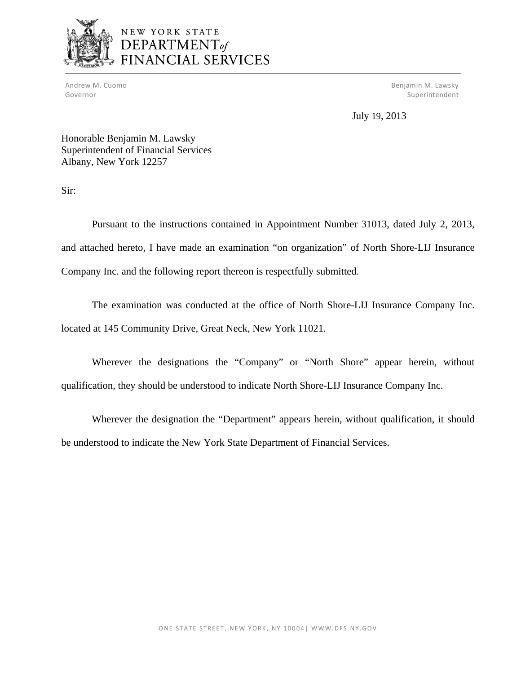

## NEW YORK STATE DEPARTMENT<sub>of</sub> FINANCIAL SERVICES

Governor and the contract of the contract of the contract of the contract of the contract of the contract of the contract of the contract of the contract of the contract of the contract of the contract of the contract of t Andrew M. Cuomo Governor

Andrew M. Cuomo **Exercía e Service Contract Contract Contract Contract Contract Contract Contract Contract Contract Contract Contract Contract Contract Contract Contract Contract Contract Contract Contract Contract Contrac** Superintendent

July 19, 2013

Honorable Benjamin M. Lawsky Superintendent of Financial Services Albany, New York 12257

Sir:

Pursuant to the instructions contained in Appointment Number 31013, dated July 2, 2013, and attached hereto, I have made an examination "on organization" of North Shore-LIJ Insurance Company Inc. and the following report thereon is respectfully submitted.

The examination was conducted at the office of North Shore-LIJ Insurance Company Inc. located at 145 Community Drive, Great Neck, New York 11021.

Wherever the designations the "Company" or "North Shore" appear herein, without qualification, they should be understood to indicate North Shore-LIJ Insurance Company Inc.

Wherever the designation the "Department" appears herein, without qualification, it should be understood to indicate the New York State Department of Financial Services.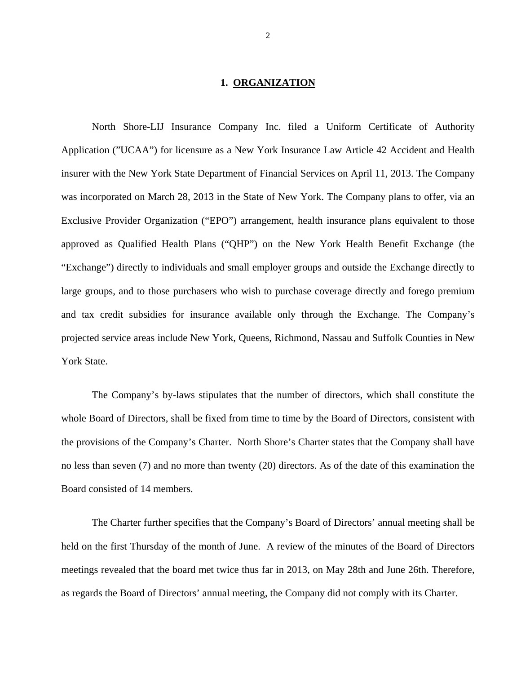#### 1. ORGANIZATION

<span id="page-3-0"></span>North Shore-LIJ Insurance Company Inc. filed a Uniform Certificate of Authority Application ("UCAA") for licensure as a New York Insurance Law Article 42 Accident and Health insurer with the New York State Department of Financial Services on April 11, 2013. The Company was incorporated on March 28, 2013 in the State of New York. The Company plans to offer, via an Exclusive Provider Organization ("EPO") arrangement, health insurance plans equivalent to those approved as Qualified Health Plans ("QHP") on the New York Health Benefit Exchange (the "Exchange") directly to individuals and small employer groups and outside the Exchange directly to large groups, and to those purchasers who wish to purchase coverage directly and forego premium and tax credit subsidies for insurance available only through the Exchange. The Company's projected service areas include New York, Queens, Richmond, Nassau and Suffolk Counties in New York State.

The Company's by-laws stipulates that the number of directors, which shall constitute the whole Board of Directors, shall be fixed from time to time by the Board of Directors, consistent with the provisions of the Company's Charter. North Shore's Charter states that the Company shall have no less than seven (7) and no more than twenty (20) directors. As of the date of this examination the Board consisted of 14 members.

The Charter further specifies that the Company's Board of Directors' annual meeting shall be held on the first Thursday of the month of June. A review of the minutes of the Board of Directors meetings revealed that the board met twice thus far in 2013, on May 28th and June 26th. Therefore, as regards the Board of Directors' annual meeting, the Company did not comply with its Charter.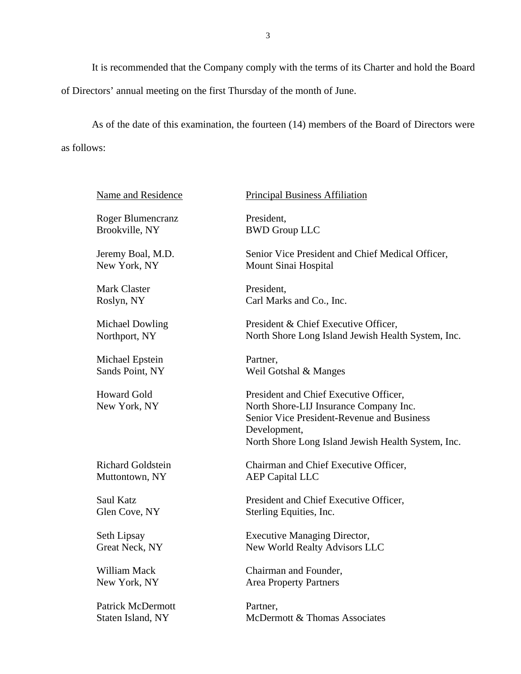It is recommended that the Company comply with the terms of its Charter and hold the Board of Directors' annual meeting on the first Thursday of the month of June.

As of the date of this examination, the fourteen (14) members of the Board of Directors were as follows:

| Name and Residence                 | <b>Principal Business Affiliation</b>                                                                                                                                                                |  |
|------------------------------------|------------------------------------------------------------------------------------------------------------------------------------------------------------------------------------------------------|--|
| Roger Blumencranz                  | President,                                                                                                                                                                                           |  |
| Brookville, NY                     | <b>BWD Group LLC</b>                                                                                                                                                                                 |  |
| Jeremy Boal, M.D.                  | Senior Vice President and Chief Medical Officer,                                                                                                                                                     |  |
| New York, NY                       | Mount Sinai Hospital                                                                                                                                                                                 |  |
| <b>Mark Claster</b>                | President,                                                                                                                                                                                           |  |
| Roslyn, NY                         | Carl Marks and Co., Inc.                                                                                                                                                                             |  |
| <b>Michael Dowling</b>             | President & Chief Executive Officer,                                                                                                                                                                 |  |
| Northport, NY                      | North Shore Long Island Jewish Health System, Inc.                                                                                                                                                   |  |
| Michael Epstein                    | Partner,                                                                                                                                                                                             |  |
| Sands Point, NY                    | Weil Gotshal & Manges                                                                                                                                                                                |  |
| <b>Howard Gold</b><br>New York, NY | President and Chief Executive Officer,<br>North Shore-LIJ Insurance Company Inc.<br>Senior Vice President-Revenue and Business<br>Development,<br>North Shore Long Island Jewish Health System, Inc. |  |
| <b>Richard Goldstein</b>           | Chairman and Chief Executive Officer,                                                                                                                                                                |  |
| Muttontown, NY                     | <b>AEP Capital LLC</b>                                                                                                                                                                               |  |
| Saul Katz                          | President and Chief Executive Officer,                                                                                                                                                               |  |
| Glen Cove, NY                      | Sterling Equities, Inc.                                                                                                                                                                              |  |
| Seth Lipsay                        | <b>Executive Managing Director,</b>                                                                                                                                                                  |  |
| Great Neck, NY                     | New World Realty Advisors LLC                                                                                                                                                                        |  |
| William Mack                       | Chairman and Founder,                                                                                                                                                                                |  |
| New York, NY                       | <b>Area Property Partners</b>                                                                                                                                                                        |  |
| <b>Patrick McDermott</b>           | Partner,                                                                                                                                                                                             |  |
| Staten Island, NY                  | McDermott & Thomas Associates                                                                                                                                                                        |  |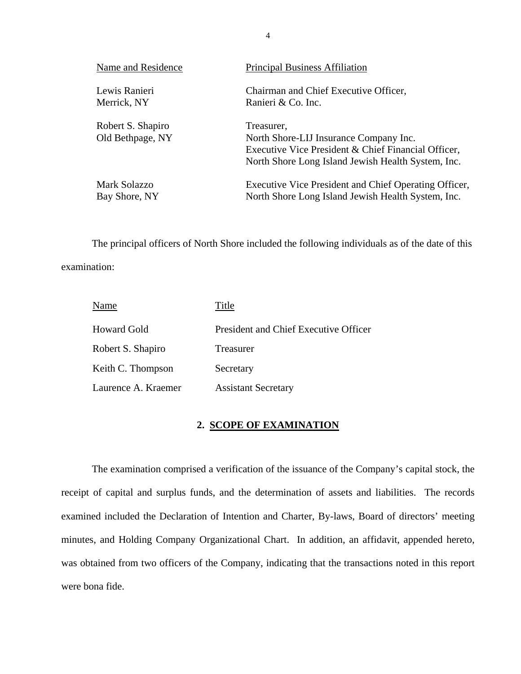<span id="page-5-0"></span>

| Name and Residence                    | <b>Principal Business Affiliation</b>                                                                                                                             |
|---------------------------------------|-------------------------------------------------------------------------------------------------------------------------------------------------------------------|
| Lewis Ranieri                         | Chairman and Chief Executive Officer,                                                                                                                             |
| Merrick, NY                           | Ranieri & Co. Inc.                                                                                                                                                |
| Robert S. Shapiro<br>Old Bethpage, NY | Treasurer,<br>North Shore-LIJ Insurance Company Inc.<br>Executive Vice President & Chief Financial Officer,<br>North Shore Long Island Jewish Health System, Inc. |
| Mark Solazzo                          | Executive Vice President and Chief Operating Officer,                                                                                                             |
| Bay Shore, NY                         | North Shore Long Island Jewish Health System, Inc.                                                                                                                |

The principal officers of North Shore included the following individuals as of the date of this examination:

| Name                | Title                                 |
|---------------------|---------------------------------------|
| <b>Howard Gold</b>  | President and Chief Executive Officer |
| Robert S. Shapiro   | Treasurer                             |
| Keith C. Thompson   | Secretary                             |
| Laurence A. Kraemer | <b>Assistant Secretary</b>            |

#### **2. SCOPE OF EXAMINATION**

The examination comprised a verification of the issuance of the Company's capital stock, the receipt of capital and surplus funds, and the determination of assets and liabilities. The records examined included the Declaration of Intention and Charter, By-laws, Board of directors' meeting minutes, and Holding Company Organizational Chart. In addition, an affidavit, appended hereto, was obtained from two officers of the Company, indicating that the transactions noted in this report were bona fide.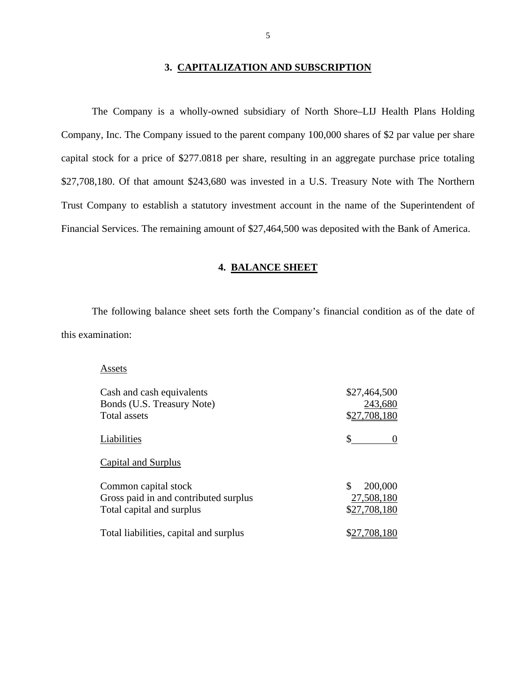#### **3. CAPITALIZATION AND SUBSCRIPTION**

The Company is a wholly-owned subsidiary of North Shore–LIJ Health Plans Holding Company, Inc. The Company issued to the parent company 100,000 shares of \$2 par value per share capital stock for a price of \$277.0818 per share, resulting in an aggregate purchase price totaling \$27,708,180. Of that amount \$243,680 was invested in a U.S. Treasury Note with The Northern Trust Company to establish a statutory investment account in the name of the Superintendent of Financial Services. The remaining amount of \$27,464,500 was deposited with the Bank of America.

#### **4. BALANCE SHEET**

The following balance sheet sets forth the Company's financial condition as of the date of this examination:

#### **Assets**

| Cash and cash equivalents              | \$27,464,500  |  |
|----------------------------------------|---------------|--|
| Bonds (U.S. Treasury Note)             | 243,680       |  |
| Total assets                           | \$27,708,180  |  |
| Liabilities                            | \$            |  |
| <b>Capital and Surplus</b>             |               |  |
| Common capital stock                   | 200,000<br>\$ |  |
| Gross paid in and contributed surplus  | 27,508,180    |  |
| Total capital and surplus              | \$27,708,180  |  |
| Total liabilities, capital and surplus |               |  |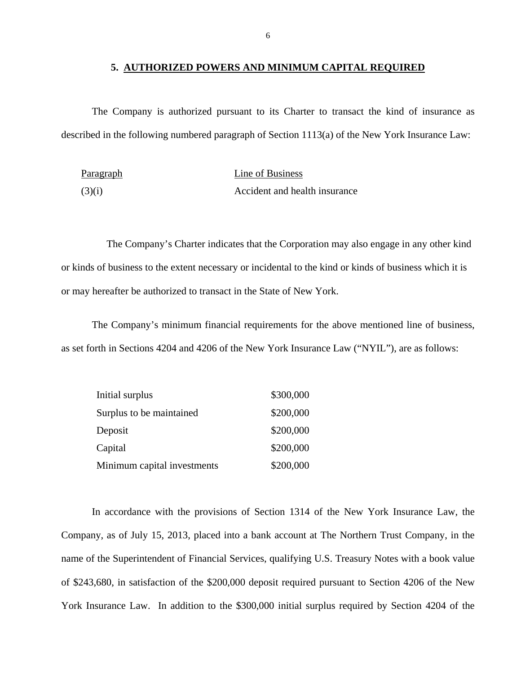#### **5. AUTHORIZED POWERS AND MINIMUM CAPITAL REQUIRED**

The Company is authorized pursuant to its Charter to transact the kind of insurance as described in the following numbered paragraph of Section 1113(a) of the New York Insurance Law:

| Paragraph | Line of Business              |
|-----------|-------------------------------|
| (3)(i)    | Accident and health insurance |

The Company's Charter indicates that the Corporation may also engage in any other kind or kinds of business to the extent necessary or incidental to the kind or kinds of business which it is or may hereafter be authorized to transact in the State of New York.

The Company's minimum financial requirements for the above mentioned line of business, as set forth in Sections 4204 and 4206 of the New York Insurance Law ("NYIL"), are as follows:

| Initial surplus             | \$300,000 |
|-----------------------------|-----------|
| Surplus to be maintained    | \$200,000 |
| Deposit                     | \$200,000 |
| Capital                     | \$200,000 |
| Minimum capital investments | \$200,000 |

In accordance with the provisions of Section 1314 of the New York Insurance Law, the Company, as of July 15, 2013, placed into a bank account at The Northern Trust Company, in the name of the Superintendent of Financial Services, qualifying U.S. Treasury Notes with a book value of \$243,680, in satisfaction of the \$200,000 deposit required pursuant to Section 4206 of the New York Insurance Law. In addition to the \$300,000 initial surplus required by Section 4204 of the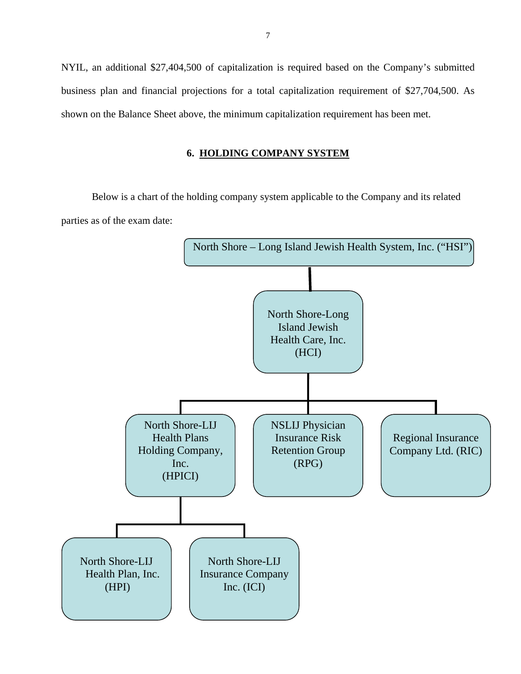<span id="page-8-0"></span>NYIL, an additional \$27,404,500 of capitalization is required based on the Company's submitted business plan and financial projections for a total capitalization requirement of \$27,704,500. As shown on the Balance Sheet above, the minimum capitalization requirement has been met.

#### **6. HOLDING COMPANY SYSTEM**

Below is a chart of the holding company system applicable to the Company and its related parties as of the exam date:

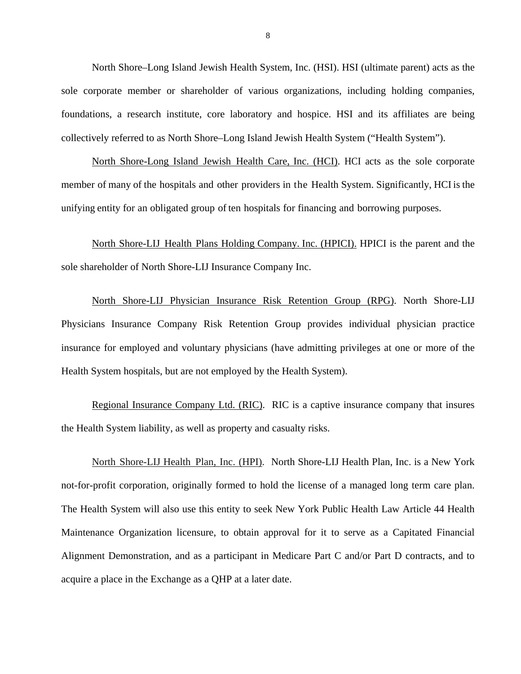North Shore–Long Island Jewish Health System, Inc. (HSI). HSI (ultimate parent) acts as the sole corporate member or shareholder of various organizations, including holding companies, foundations, a research institute, core laboratory and hospice. HSI and its affiliates are being collectively referred to as North Shore–Long Island Jewish Health System ("Health System").

 unifying entity for an obligated group of ten hospitals for financing and borrowing purposes. North Shore-Long Island Jewish Health Care, Inc. (HCI). HCI acts as the sole corporate member of many of the hospitals and other providers in the Health System. Significantly, HCI is the

North Shore-LIJ Health Plans Holding Company. Inc. (HPICI). HPICI is the parent and the sole shareholder of North Shore-LIJ Insurance Company Inc.

North Shore-LIJ Physician Insurance Risk Retention Group (RPG). North Shore-LIJ Physicians Insurance Company Risk Retention Group provides individual physician practice insurance for employed and voluntary physicians (have admitting privileges at one or more of the Health System hospitals, but are not employed by the Health System).

Regional Insurance Company Ltd. (RIC). RIC is a captive insurance company that insures the Health System liability, as well as property and casualty risks.

North Shore-LIJ Health Plan, Inc. (HPI). North Shore-LIJ Health Plan, Inc. is a New York not-for-profit corporation, originally formed to hold the license of a managed long term care plan. The Health System will also use this entity to seek New York Public Health Law Article 44 Health Maintenance Organization licensure, to obtain approval for it to serve as a Capitated Financial Alignment Demonstration, and as a participant in Medicare Part C and/or Part D contracts, and to acquire a place in the Exchange as a QHP at a later date.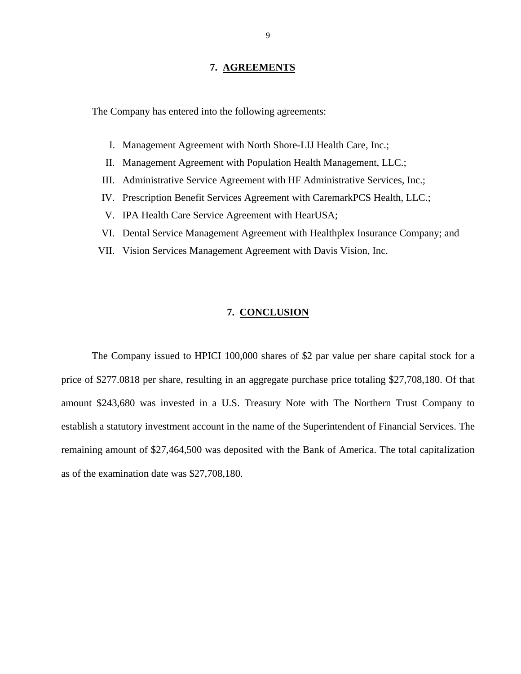#### **7. AGREEMENTS**

<span id="page-10-0"></span>The Company has entered into the following agreements:

- I. Management Agreement with North Shore-LIJ Health Care, Inc.;
- II. Management Agreement with Population Health Management, LLC.;
- III. Administrative Service Agreement with HF Administrative Services, Inc.;
- IV. Prescription Benefit Services Agreement with CaremarkPCS Health, LLC.;
- V. IPA Health Care Service Agreement with HearUSA;
- VI. Dental Service Management Agreement with Healthplex Insurance Company; and
- VII. Vision Services Management Agreement with Davis Vision, Inc.

#### **7. CONCLUSION**

The Company issued to HPICI 100,000 shares of \$2 par value per share capital stock for a price of \$277.0818 per share, resulting in an aggregate purchase price totaling \$27,708,180. Of that amount \$243,680 was invested in a U.S. Treasury Note with The Northern Trust Company to establish a statutory investment account in the name of the Superintendent of Financial Services. The remaining amount of \$27,464,500 was deposited with the Bank of America. The total capitalization as of the examination date was \$27,708,180.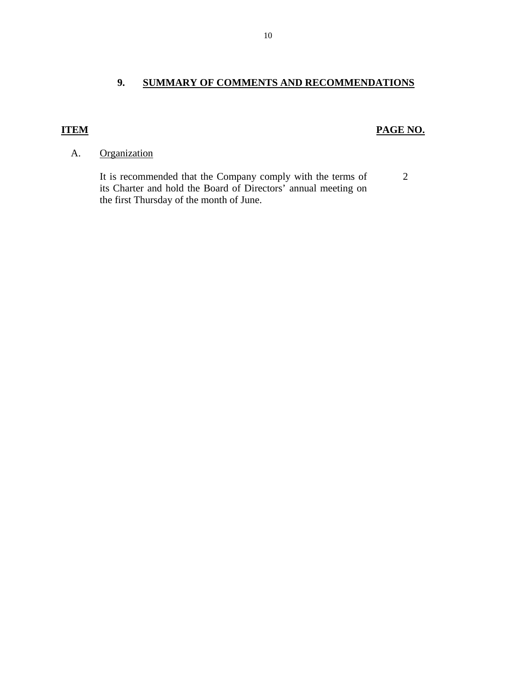## **9. SUMMARY OF COMMENTS AND RECOMMENDATIONS**

## <span id="page-11-0"></span>**ITEM PAGE NO.**

## A. Organization

It is recommended that the Company comply with the terms of its Charter and hold the Board of Directors' annual meeting on the first Thursday of the month of June. 2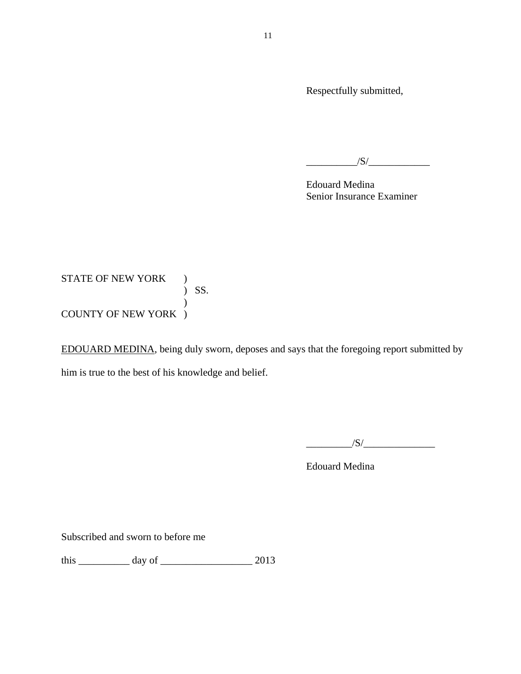Respectfully submitted,

 $/S/$ 

Edouard Medina Senior Insurance Examiner

## ) SS. STATE OF NEW YORK ) ) COUNTY OF NEW YORK )

EDOUARD MEDINA, being duly sworn, deposes and says that the foregoing report submitted by him is true to the best of his knowledge and belief.

 $\overline{\phantom{a}1}$   $\overline{\phantom{a}1}$   $\overline{\phantom{a}1}$   $\overline{\phantom{a}1}$   $\overline{\phantom{a}1}$   $\overline{\phantom{a}1}$   $\overline{\phantom{a}1}$   $\overline{\phantom{a}1}$   $\overline{\phantom{a}1}$   $\overline{\phantom{a}1}$   $\overline{\phantom{a}1}$   $\overline{\phantom{a}1}$   $\overline{\phantom{a}1}$   $\overline{\phantom{a}1}$   $\overline{\phantom{a}1}$   $\overline{\phantom{a}1$ 

Edouard Medina

Subscribed and sworn to before me

this \_\_\_\_\_\_\_\_\_\_ day of \_\_\_\_\_\_\_\_\_\_\_\_\_\_\_\_\_\_ 2013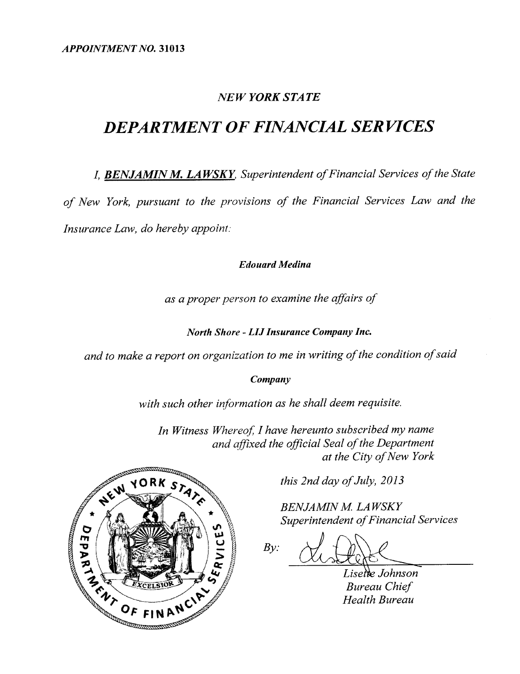**APPOINTMENT NO. 31013** 

## **NEW YORK STATE**

# DEPARTMENT OF FINANCIAL SERVICES

I, BENJAMIN M. LAWSKY, Superintendent of Financial Services of the State

of New York, pursuant to the provisions of the Financial Services Law and the Insurance Law, do hereby appoint:

**Edouard Medina** 

as a proper person to examine the affairs of

**North Shore - LIJ Insurance Company Inc.** 

and to make a report on organization to me in writing of the condition of said

### Company

with such other information as he shall deem requisite.

In Witness Whereof, I have hereunto subscribed my name and affixed the official Seal of the Department at the City of New York



**BENJAMIN M. LAWSKY** Superintendent of Financial Services

 $By:$ 

Lisette Johnson **Bureau Chief Health Bureau** 

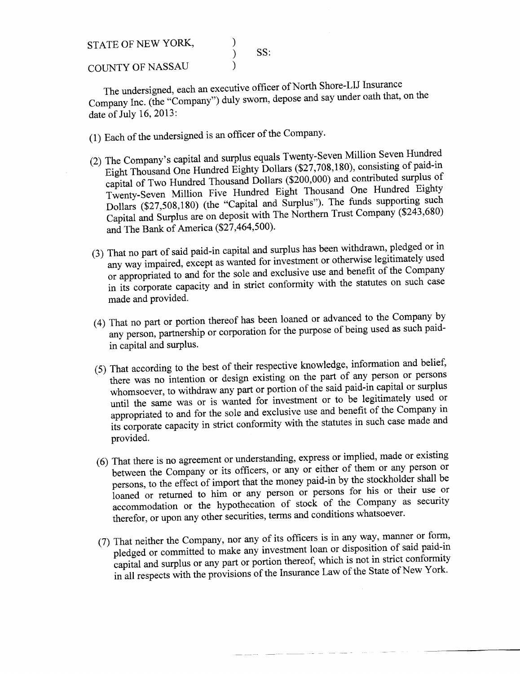STATE OF NEW YORK,  $\mathcal{E}$ SS:  $\lambda$ **COUNTY OF NASSAU**  $\lambda$ 

The undersigned, each an executive officer of North Shore-LIJ Insurance Company Inc. (the "Company") duly sworn, depose and say under oath that, on the date of July 16, 2013:

- (1) Each of the undersigned is an officer of the Company.
- (2) The Company's capital and surplus equals Twenty-Seven Million Seven Hundred Eight Thousand One Hundred Eighty Dollars (\$27,708,180), consisting of paid-in capital of Two Hundred Thousand Dollars (\$200,000) and contributed surplus of Twenty-Seven Million Five Hundred Eight Thousand One Hundred Eighty Dollars (\$27,508,180) (the "Capital and Surplus"). The funds supporting such Capital and Surplus are on deposit with The Northern Trust Company (\$243,680) and The Bank of America (\$27,464,500).
- (3) That no part of said paid-in capital and surplus has been withdrawn, pledged or in any way impaired, except as wanted for investment or otherwise legitimately used or appropriated to and for the sole and exclusive use and benefit of the Company in its corporate capacity and in strict conformity with the statutes on such case made and provided.
- (4) That no part or portion thereof has been loaned or advanced to the Company by any person, partnership or corporation for the purpose of being used as such paidin capital and surplus.
- (5) That according to the best of their respective knowledge, information and belief, there was no intention or design existing on the part of any person or persons whomsoever, to withdraw any part or portion of the said paid-in capital or surplus until the same was or is wanted for investment or to be legitimately used or appropriated to and for the sole and exclusive use and benefit of the Company in its corporate capacity in strict conformity with the statutes in such case made and provided.
- (6) That there is no agreement or understanding, express or implied, made or existing between the Company or its officers, or any or either of them or any person or persons, to the effect of import that the money paid-in by the stockholder shall be loaned or returned to him or any person or persons for his or their use or accommodation or the hypothecation of stock of the Company as security therefor, or upon any other securities, terms and conditions whatsoever.
- (7) That neither the Company, nor any of its officers is in any way, manner or form, pledged or committed to make any investment loan or disposition of said paid-in capital and surplus or any part or portion thereof, which is not in strict conformity in all respects with the provisions of the Insurance Law of the State of New York.